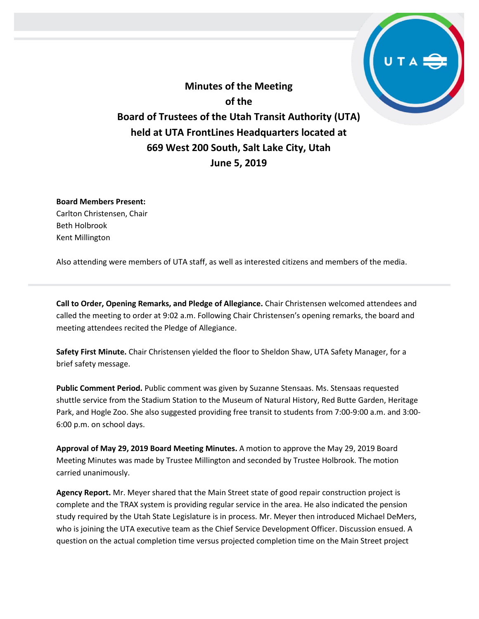**Minutes of the Meeting of the Board of Trustees of the Utah Transit Authority (UTA) held at UTA FrontLines Headquarters located at 669 West 200 South, Salt Lake City, Utah June 5, 2019**

**Board Members Present:** Carlton Christensen, Chair Beth Holbrook Kent Millington

Also attending were members of UTA staff, as well as interested citizens and members of the media.

**Call to Order, Opening Remarks, and Pledge of Allegiance.** Chair Christensen welcomed attendees and called the meeting to order at 9:02 a.m. Following Chair Christensen's opening remarks, the board and meeting attendees recited the Pledge of Allegiance.

**Safety First Minute.** Chair Christensen yielded the floor to Sheldon Shaw, UTA Safety Manager, for a brief safety message.

**Public Comment Period.** Public comment was given by Suzanne Stensaas. Ms. Stensaas requested shuttle service from the Stadium Station to the Museum of Natural History, Red Butte Garden, Heritage Park, and Hogle Zoo. She also suggested providing free transit to students from 7:00-9:00 a.m. and 3:00- 6:00 p.m. on school days.

**Approval of May 29, 2019 Board Meeting Minutes.** A motion to approve the May 29, 2019 Board Meeting Minutes was made by Trustee Millington and seconded by Trustee Holbrook. The motion carried unanimously.

**Agency Report.** Mr. Meyer shared that the Main Street state of good repair construction project is complete and the TRAX system is providing regular service in the area. He also indicated the pension study required by the Utah State Legislature is in process. Mr. Meyer then introduced Michael DeMers, who is joining the UTA executive team as the Chief Service Development Officer. Discussion ensued. A question on the actual completion time versus projected completion time on the Main Street project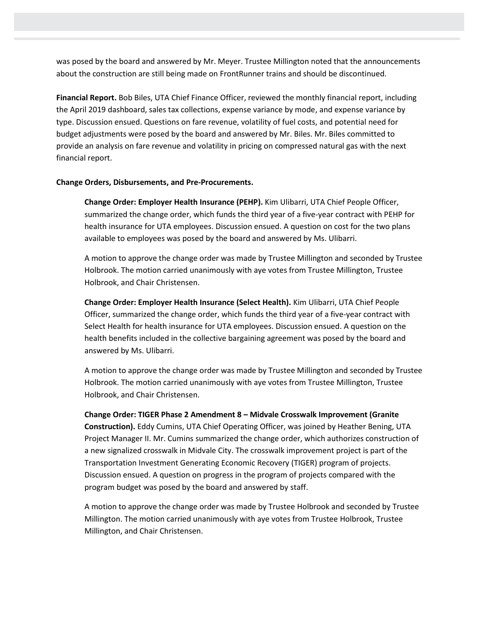was posed by the board and answered by Mr. Meyer. Trustee Millington noted that the announcements about the construction are still being made on FrontRunner trains and should be discontinued.

**Financial Report.** Bob Biles, UTA Chief Finance Officer, reviewed the monthly financial report, including the April 2019 dashboard, sales tax collections, expense variance by mode, and expense variance by type. Discussion ensued. Questions on fare revenue, volatility of fuel costs, and potential need for budget adjustments were posed by the board and answered by Mr. Biles. Mr. Biles committed to provide an analysis on fare revenue and volatility in pricing on compressed natural gas with the next financial report.

## **Change Orders, Disbursements, and Pre-Procurements.**

**Change Order: Employer Health Insurance (PEHP).** Kim Ulibarri, UTA Chief People Officer, summarized the change order, which funds the third year of a five-year contract with PEHP for health insurance for UTA employees. Discussion ensued. A question on cost for the two plans available to employees was posed by the board and answered by Ms. Ulibarri.

A motion to approve the change order was made by Trustee Millington and seconded by Trustee Holbrook. The motion carried unanimously with aye votes from Trustee Millington, Trustee Holbrook, and Chair Christensen.

**Change Order: Employer Health Insurance (Select Health).** Kim Ulibarri, UTA Chief People Officer, summarized the change order, which funds the third year of a five-year contract with Select Health for health insurance for UTA employees. Discussion ensued. A question on the health benefits included in the collective bargaining agreement was posed by the board and answered by Ms. Ulibarri.

A motion to approve the change order was made by Trustee Millington and seconded by Trustee Holbrook. The motion carried unanimously with aye votes from Trustee Millington, Trustee Holbrook, and Chair Christensen.

**Change Order: TIGER Phase 2 Amendment 8 – Midvale Crosswalk Improvement (Granite Construction).** Eddy Cumins, UTA Chief Operating Officer, was joined by Heather Bening, UTA Project Manager II. Mr. Cumins summarized the change order, which authorizes construction of a new signalized crosswalk in Midvale City. The crosswalk improvement project is part of the Transportation Investment Generating Economic Recovery (TIGER) program of projects. Discussion ensued. A question on progress in the program of projects compared with the program budget was posed by the board and answered by staff.

A motion to approve the change order was made by Trustee Holbrook and seconded by Trustee Millington. The motion carried unanimously with aye votes from Trustee Holbrook, Trustee Millington, and Chair Christensen.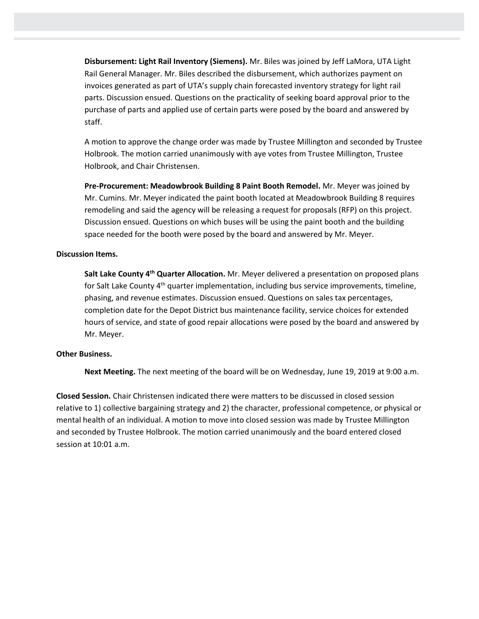**Disbursement: Light Rail Inventory (Siemens).** Mr. Biles was joined by Jeff LaMora, UTA Light Rail General Manager. Mr. Biles described the disbursement, which authorizes payment on invoices generated as part of UTA's supply chain forecasted inventory strategy for light rail parts. Discussion ensued. Questions on the practicality of seeking board approval prior to the purchase of parts and applied use of certain parts were posed by the board and answered by staff.

A motion to approve the change order was made by Trustee Millington and seconded by Trustee Holbrook. The motion carried unanimously with aye votes from Trustee Millington, Trustee Holbrook, and Chair Christensen.

**Pre-Procurement: Meadowbrook Building 8 Paint Booth Remodel.** Mr. Meyer was joined by Mr. Cumins. Mr. Meyer indicated the paint booth located at Meadowbrook Building 8 requires remodeling and said the agency will be releasing a request for proposals (RFP) on this project. Discussion ensued. Questions on which buses will be using the paint booth and the building space needed for the booth were posed by the board and answered by Mr. Meyer.

## **Discussion Items.**

**Salt Lake County 4th Quarter Allocation.** Mr. Meyer delivered a presentation on proposed plans for Salt Lake County 4<sup>th</sup> quarter implementation, including bus service improvements, timeline, phasing, and revenue estimates. Discussion ensued. Questions on sales tax percentages, completion date for the Depot District bus maintenance facility, service choices for extended hours of service, and state of good repair allocations were posed by the board and answered by Mr. Meyer.

## **Other Business.**

**Next Meeting.** The next meeting of the board will be on Wednesday, June 19, 2019 at 9:00 a.m.

**Closed Session.** Chair Christensen indicated there were matters to be discussed in closed session relative to 1) collective bargaining strategy and 2) the character, professional competence, or physical or mental health of an individual. A motion to move into closed session was made by Trustee Millington and seconded by Trustee Holbrook. The motion carried unanimously and the board entered closed session at 10:01 a.m.